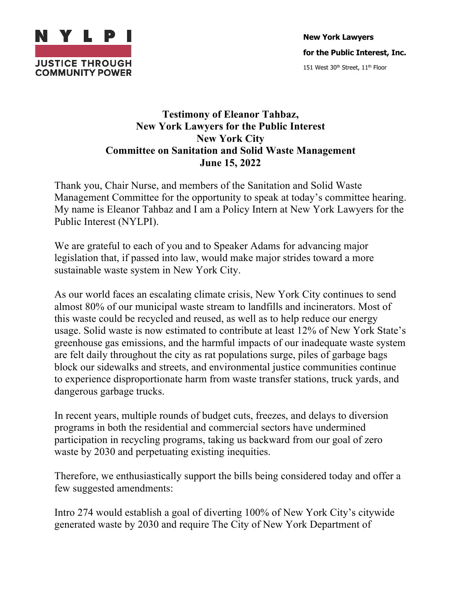

## **Testimony of Eleanor Tahbaz, New York Lawyers for the Public Interest New York City Committee on Sanitation and Solid Waste Management June 15, 2022**

Thank you, Chair Nurse, and members of the Sanitation and Solid Waste Management Committee for the opportunity to speak at today's committee hearing. My name is Eleanor Tahbaz and I am a Policy Intern at New York Lawyers for the Public Interest (NYLPI).

We are grateful to each of you and to Speaker Adams for advancing major legislation that, if passed into law, would make major strides toward a more sustainable waste system in New York City.

As our world faces an escalating climate crisis, New York City continues to send almost 80% of our municipal waste stream to landfills and incinerators. Most of this waste could be recycled and reused, as well as to help reduce our energy usage. Solid waste is now estimated to contribute at least 12% of New York State's greenhouse gas emissions, and the harmful impacts of our inadequate waste system are felt daily throughout the city as rat populations surge, piles of garbage bags block our sidewalks and streets, and environmental justice communities continue to experience disproportionate harm from waste transfer stations, truck yards, and dangerous garbage trucks.

In recent years, multiple rounds of budget cuts, freezes, and delays to diversion programs in both the residential and commercial sectors have undermined participation in recycling programs, taking us backward from our goal of zero waste by 2030 and perpetuating existing inequities.

Therefore, we enthusiastically support the bills being considered today and offer a few suggested amendments:

Intro 274 would establish a goal of diverting 100% of New York City's citywide generated waste by 2030 and require The City of New York Department of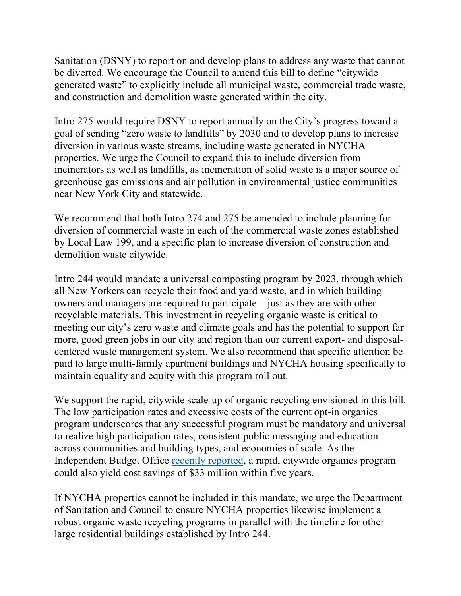Sanitation (DSNY) to report on and develop plans to address any waste that cannot be diverted. We encourage the Council to amend this bill to define "citywide generated waste" to explicitly include all municipal waste, commercial trade waste, and construction and demolition waste generated within the city.

Intro 275 would require DSNY to report annually on the City's progress toward a goal of sending "zero waste to landfills" by 2030 and to develop plans to increase diversion in various waste streams, including waste generated in NYCHA properties. We urge the Council to expand this to include diversion from incinerators as well as landfills, as incineration of solid waste is a major source of greenhouse gas emissions and air pollution in environmental justice communities near New York City and statewide.

We recommend that both Intro 274 and 275 be amended to include planning for diversion of commercial waste in each of the commercial waste zones established by Local Law 199, and a specific plan to increase diversion of construction and demolition waste citywide.

Intro 244 would mandate a universal composting program by 2023, through which all New Yorkers can recycle their food and yard waste, and in which building owners and managers are required to participate – just as they are with other recyclable materials. This investment in recycling organic waste is critical to meeting our city's zero waste and climate goals and has the potential to support far more, good green jobs in our city and region than our current export- and disposalcentered waste management system. We also recommend that specific attention be paid to large multi-family apartment buildings and NYCHA housing specifically to maintain equality and equity with this program roll out.

We support the rapid, citywide scale-up of organic recycling envisioned in this bill. The low participation rates and excessive costs of the current opt-in organics program underscores that any successful program must be mandatory and universal to realize high participation rates, consistent public messaging and education across communities and building types, and economies of scale. As the Independent Budget Office recently reported, a rapid, citywide organics program could also yield cost savings of \$33 million within five years.

If NYCHA properties cannot be included in this mandate, we urge the Department of Sanitation and Council to ensure NYCHA properties likewise implement a robust organic waste recycling programs in parallel with the timeline for other large residential buildings established by Intro 244.